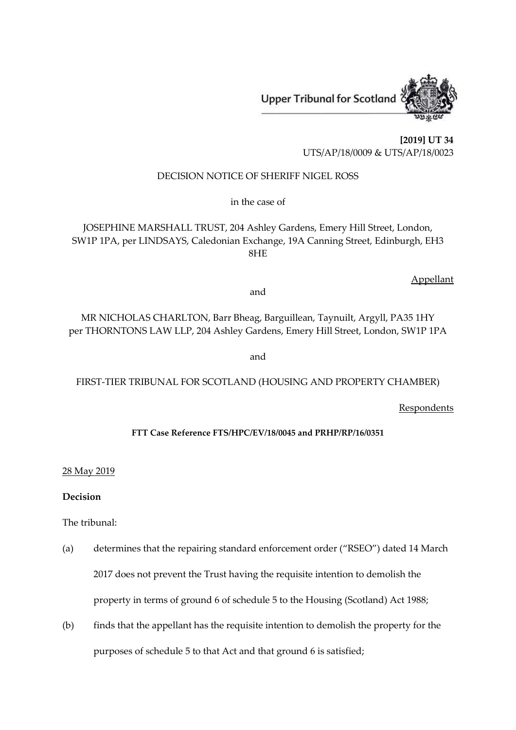**Upper Tribunal for Scotland** 



**[2019] UT 34** UTS/AP/18/0009 & UTS/AP/18/0023

# DECISION NOTICE OF SHERIFF NIGEL ROSS

in the case of

JOSEPHINE MARSHALL TRUST, 204 Ashley Gardens, Emery Hill Street, London, SW1P 1PA, per LINDSAYS, Caledonian Exchange, 19A Canning Street, Edinburgh, EH3 8HE

Appellant

and

MR NICHOLAS CHARLTON, Barr Bheag, Barguillean, Taynuilt, Argyll, PA35 1HY per THORNTONS LAW LLP, 204 Ashley Gardens, Emery Hill Street, London, SW1P 1PA

and

# FIRST-TIER TRIBUNAL FOR SCOTLAND (HOUSING AND PROPERTY CHAMBER)

**Respondents** 

# **FTT Case Reference FTS/HPC/EV/18/0045 and PRHP/RP/16/0351**

# 28 May 2019

# **Decision**

The tribunal:

- (a) determines that the repairing standard enforcement order ("RSEO") dated 14 March 2017 does not prevent the Trust having the requisite intention to demolish the property in terms of ground 6 of schedule 5 to the Housing (Scotland) Act 1988;
- (b) finds that the appellant has the requisite intention to demolish the property for the purposes of schedule 5 to that Act and that ground 6 is satisfied;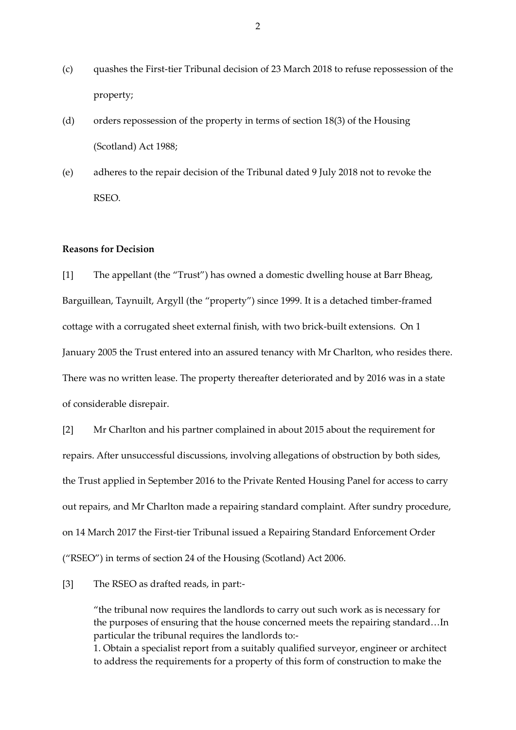- (c) quashes the First-tier Tribunal decision of 23 March 2018 to refuse repossession of the property;
- (d) orders repossession of the property in terms of section 18(3) of the Housing (Scotland) Act 1988;
- (e) adheres to the repair decision of the Tribunal dated 9 July 2018 not to revoke the RSEO.

### **Reasons for Decision**

[1] The appellant (the "Trust") has owned a domestic dwelling house at Barr Bheag, Barguillean, Taynuilt, Argyll (the "property") since 1999. It is a detached timber-framed cottage with a corrugated sheet external finish, with two brick-built extensions. On 1 January 2005 the Trust entered into an assured tenancy with Mr Charlton, who resides there. There was no written lease. The property thereafter deteriorated and by 2016 was in a state of considerable disrepair.

[2] Mr Charlton and his partner complained in about 2015 about the requirement for repairs. After unsuccessful discussions, involving allegations of obstruction by both sides, the Trust applied in September 2016 to the Private Rented Housing Panel for access to carry out repairs, and Mr Charlton made a repairing standard complaint. After sundry procedure, on 14 March 2017 the First-tier Tribunal issued a Repairing Standard Enforcement Order ("RSEO") in terms of section 24 of the Housing (Scotland) Act 2006.

[3] The RSEO as drafted reads, in part:-

"the tribunal now requires the landlords to carry out such work as is necessary for the purposes of ensuring that the house concerned meets the repairing standard…In particular the tribunal requires the landlords to:- 1. Obtain a specialist report from a suitably qualified surveyor, engineer or architect to address the requirements for a property of this form of construction to make the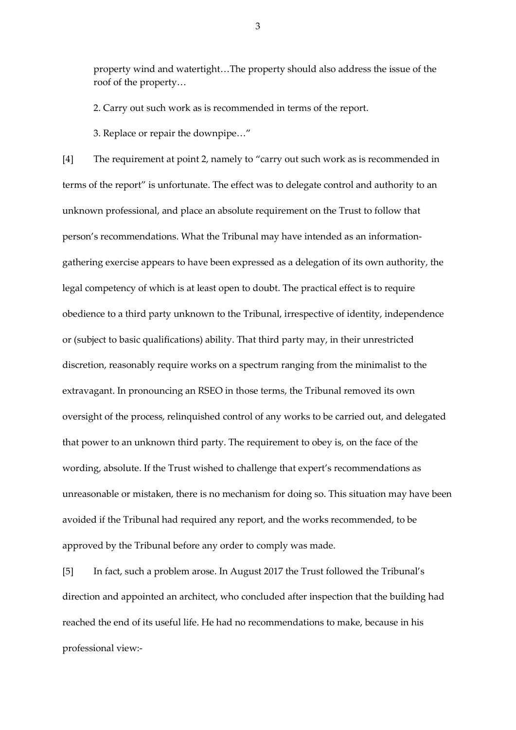property wind and watertight…The property should also address the issue of the roof of the property…

2. Carry out such work as is recommended in terms of the report.

3. Replace or repair the downpipe…"

[4] The requirement at point 2, namely to "carry out such work as is recommended in terms of the report" is unfortunate. The effect was to delegate control and authority to an unknown professional, and place an absolute requirement on the Trust to follow that person's recommendations. What the Tribunal may have intended as an informationgathering exercise appears to have been expressed as a delegation of its own authority, the legal competency of which is at least open to doubt. The practical effect is to require obedience to a third party unknown to the Tribunal, irrespective of identity, independence or (subject to basic qualifications) ability. That third party may, in their unrestricted discretion, reasonably require works on a spectrum ranging from the minimalist to the extravagant. In pronouncing an RSEO in those terms, the Tribunal removed its own oversight of the process, relinquished control of any works to be carried out, and delegated that power to an unknown third party. The requirement to obey is, on the face of the wording, absolute. If the Trust wished to challenge that expert's recommendations as unreasonable or mistaken, there is no mechanism for doing so. This situation may have been avoided if the Tribunal had required any report, and the works recommended, to be approved by the Tribunal before any order to comply was made.

[5] In fact, such a problem arose. In August 2017 the Trust followed the Tribunal's direction and appointed an architect, who concluded after inspection that the building had reached the end of its useful life. He had no recommendations to make, because in his professional view:-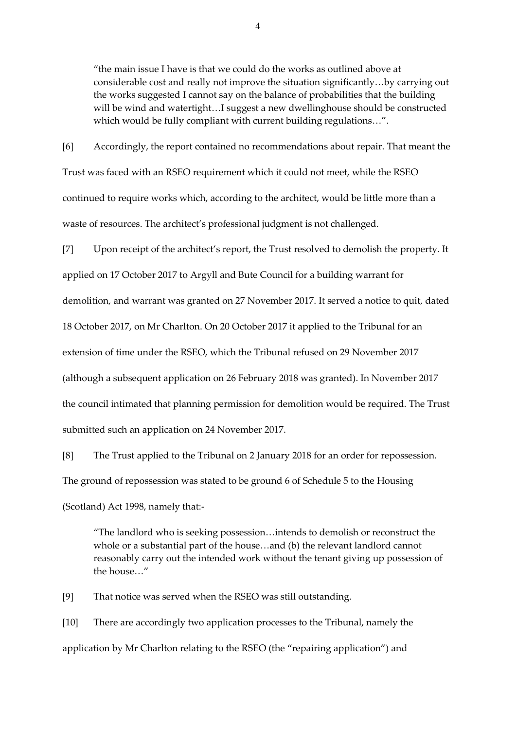"the main issue I have is that we could do the works as outlined above at considerable cost and really not improve the situation significantly…by carrying out the works suggested I cannot say on the balance of probabilities that the building will be wind and watertight…I suggest a new dwellinghouse should be constructed which would be fully compliant with current building regulations…".

[6] Accordingly, the report contained no recommendations about repair. That meant the Trust was faced with an RSEO requirement which it could not meet, while the RSEO continued to require works which, according to the architect, would be little more than a waste of resources. The architect's professional judgment is not challenged.

[7] Upon receipt of the architect's report, the Trust resolved to demolish the property. It applied on 17 October 2017 to Argyll and Bute Council for a building warrant for demolition, and warrant was granted on 27 November 2017. It served a notice to quit, dated 18 October 2017, on Mr Charlton. On 20 October 2017 it applied to the Tribunal for an extension of time under the RSEO, which the Tribunal refused on 29 November 2017 (although a subsequent application on 26 February 2018 was granted). In November 2017 the council intimated that planning permission for demolition would be required. The Trust submitted such an application on 24 November 2017.

[8] The Trust applied to the Tribunal on 2 January 2018 for an order for repossession. The ground of repossession was stated to be ground 6 of Schedule 5 to the Housing (Scotland) Act 1998, namely that:-

"The landlord who is seeking possession…intends to demolish or reconstruct the whole or a substantial part of the house…and (b) the relevant landlord cannot reasonably carry out the intended work without the tenant giving up possession of the house…"

[9] That notice was served when the RSEO was still outstanding.

[10] There are accordingly two application processes to the Tribunal, namely the application by Mr Charlton relating to the RSEO (the "repairing application") and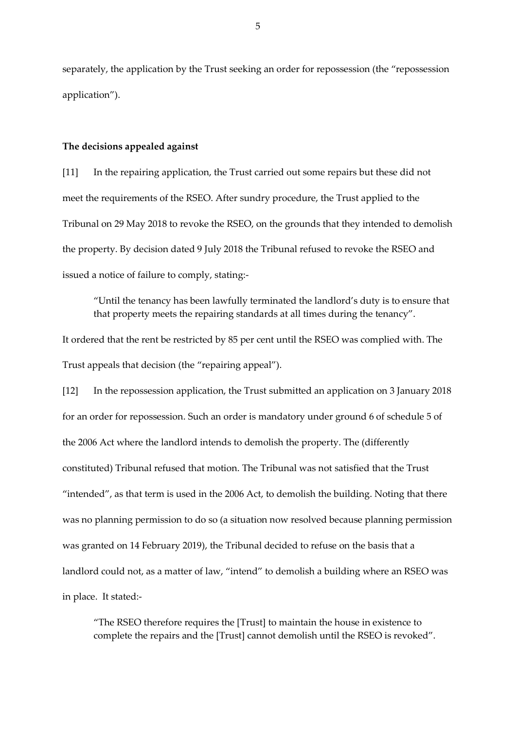separately, the application by the Trust seeking an order for repossession (the "repossession application").

### **The decisions appealed against**

[11] In the repairing application, the Trust carried out some repairs but these did not meet the requirements of the RSEO. After sundry procedure, the Trust applied to the Tribunal on 29 May 2018 to revoke the RSEO, on the grounds that they intended to demolish the property. By decision dated 9 July 2018 the Tribunal refused to revoke the RSEO and issued a notice of failure to comply, stating:-

"Until the tenancy has been lawfully terminated the landlord's duty is to ensure that that property meets the repairing standards at all times during the tenancy".

It ordered that the rent be restricted by 85 per cent until the RSEO was complied with. The Trust appeals that decision (the "repairing appeal").

[12] In the repossession application, the Trust submitted an application on 3 January 2018 for an order for repossession. Such an order is mandatory under ground 6 of schedule 5 of the 2006 Act where the landlord intends to demolish the property. The (differently constituted) Tribunal refused that motion. The Tribunal was not satisfied that the Trust "intended", as that term is used in the 2006 Act, to demolish the building. Noting that there was no planning permission to do so (a situation now resolved because planning permission was granted on 14 February 2019), the Tribunal decided to refuse on the basis that a landlord could not, as a matter of law, "intend" to demolish a building where an RSEO was in place. It stated:-

"The RSEO therefore requires the [Trust] to maintain the house in existence to complete the repairs and the [Trust] cannot demolish until the RSEO is revoked".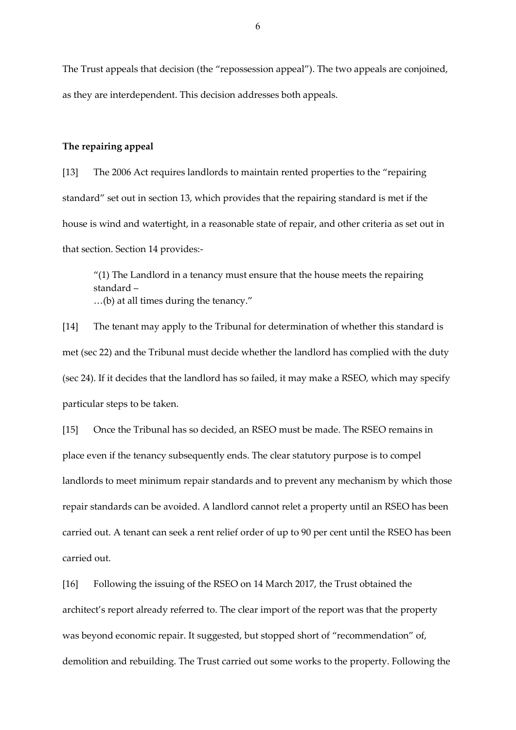The Trust appeals that decision (the "repossession appeal"). The two appeals are conjoined, as they are interdependent. This decision addresses both appeals.

### **The repairing appeal**

[13] The 2006 Act requires landlords to maintain rented properties to the "repairing standard" set out in section 13, which provides that the repairing standard is met if the house is wind and watertight, in a reasonable state of repair, and other criteria as set out in that section. Section 14 provides:-

 $''(1)$  The Landlord in a tenancy must ensure that the house meets the repairing standard – …(b) at all times during the tenancy."

[14] The tenant may apply to the Tribunal for determination of whether this standard is met (sec 22) and the Tribunal must decide whether the landlord has complied with the duty (sec 24). If it decides that the landlord has so failed, it may make a RSEO, which may specify particular steps to be taken.

[15] Once the Tribunal has so decided, an RSEO must be made. The RSEO remains in place even if the tenancy subsequently ends. The clear statutory purpose is to compel landlords to meet minimum repair standards and to prevent any mechanism by which those repair standards can be avoided. A landlord cannot relet a property until an RSEO has been carried out. A tenant can seek a rent relief order of up to 90 per cent until the RSEO has been carried out.

[16] Following the issuing of the RSEO on 14 March 2017, the Trust obtained the architect's report already referred to. The clear import of the report was that the property was beyond economic repair. It suggested, but stopped short of "recommendation" of, demolition and rebuilding. The Trust carried out some works to the property. Following the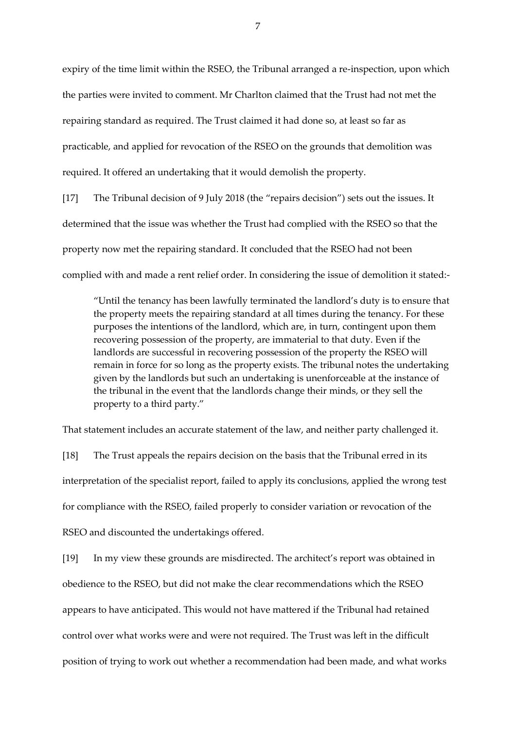expiry of the time limit within the RSEO, the Tribunal arranged a re-inspection, upon which the parties were invited to comment. Mr Charlton claimed that the Trust had not met the repairing standard as required. The Trust claimed it had done so, at least so far as practicable, and applied for revocation of the RSEO on the grounds that demolition was required. It offered an undertaking that it would demolish the property.

[17] The Tribunal decision of 9 July 2018 (the "repairs decision") sets out the issues. It determined that the issue was whether the Trust had complied with the RSEO so that the property now met the repairing standard. It concluded that the RSEO had not been complied with and made a rent relief order. In considering the issue of demolition it stated:-

"Until the tenancy has been lawfully terminated the landlord's duty is to ensure that the property meets the repairing standard at all times during the tenancy. For these purposes the intentions of the landlord, which are, in turn, contingent upon them recovering possession of the property, are immaterial to that duty. Even if the landlords are successful in recovering possession of the property the RSEO will remain in force for so long as the property exists. The tribunal notes the undertaking given by the landlords but such an undertaking is unenforceable at the instance of the tribunal in the event that the landlords change their minds, or they sell the property to a third party."

That statement includes an accurate statement of the law, and neither party challenged it.

[18] The Trust appeals the repairs decision on the basis that the Tribunal erred in its interpretation of the specialist report, failed to apply its conclusions, applied the wrong test for compliance with the RSEO, failed properly to consider variation or revocation of the RSEO and discounted the undertakings offered.

[19] In my view these grounds are misdirected. The architect's report was obtained in obedience to the RSEO, but did not make the clear recommendations which the RSEO appears to have anticipated. This would not have mattered if the Tribunal had retained control over what works were and were not required. The Trust was left in the difficult position of trying to work out whether a recommendation had been made, and what works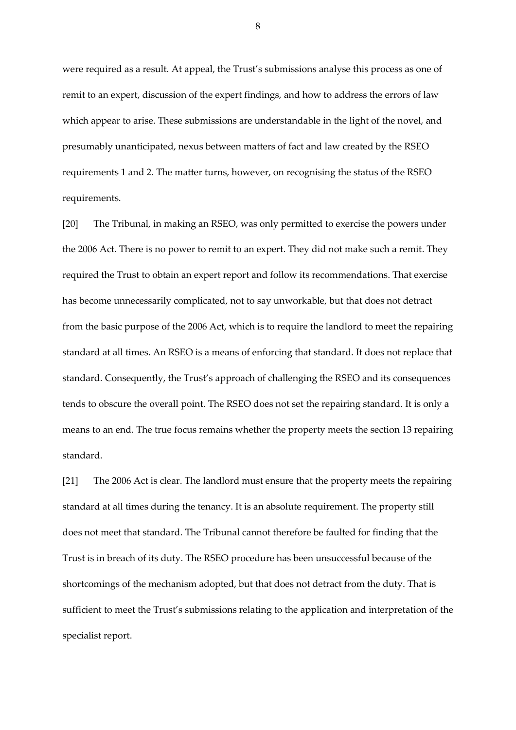were required as a result. At appeal, the Trust's submissions analyse this process as one of remit to an expert, discussion of the expert findings, and how to address the errors of law which appear to arise. These submissions are understandable in the light of the novel, and presumably unanticipated, nexus between matters of fact and law created by the RSEO requirements 1 and 2. The matter turns, however, on recognising the status of the RSEO requirements.

[20] The Tribunal, in making an RSEO, was only permitted to exercise the powers under the 2006 Act. There is no power to remit to an expert. They did not make such a remit. They required the Trust to obtain an expert report and follow its recommendations. That exercise has become unnecessarily complicated, not to say unworkable, but that does not detract from the basic purpose of the 2006 Act, which is to require the landlord to meet the repairing standard at all times. An RSEO is a means of enforcing that standard. It does not replace that standard. Consequently, the Trust's approach of challenging the RSEO and its consequences tends to obscure the overall point. The RSEO does not set the repairing standard. It is only a means to an end. The true focus remains whether the property meets the section 13 repairing standard.

[21] The 2006 Act is clear. The landlord must ensure that the property meets the repairing standard at all times during the tenancy. It is an absolute requirement. The property still does not meet that standard. The Tribunal cannot therefore be faulted for finding that the Trust is in breach of its duty. The RSEO procedure has been unsuccessful because of the shortcomings of the mechanism adopted, but that does not detract from the duty. That is sufficient to meet the Trust's submissions relating to the application and interpretation of the specialist report.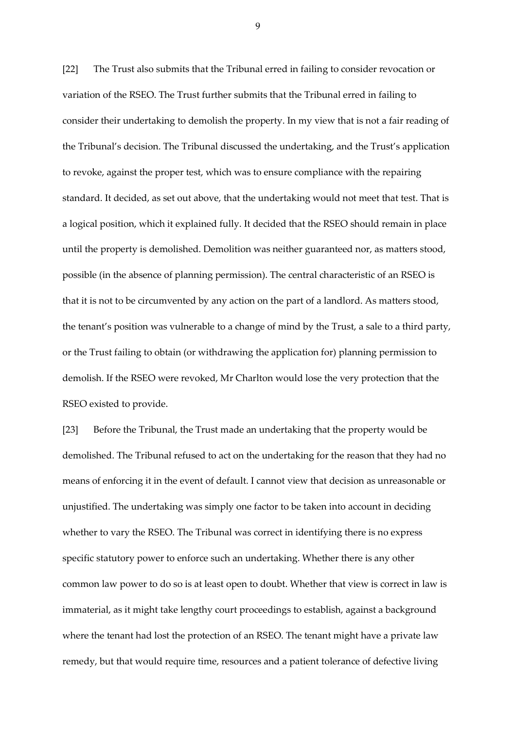[22] The Trust also submits that the Tribunal erred in failing to consider revocation or variation of the RSEO. The Trust further submits that the Tribunal erred in failing to consider their undertaking to demolish the property. In my view that is not a fair reading of the Tribunal's decision. The Tribunal discussed the undertaking, and the Trust's application to revoke, against the proper test, which was to ensure compliance with the repairing standard. It decided, as set out above, that the undertaking would not meet that test. That is a logical position, which it explained fully. It decided that the RSEO should remain in place until the property is demolished. Demolition was neither guaranteed nor, as matters stood, possible (in the absence of planning permission). The central characteristic of an RSEO is that it is not to be circumvented by any action on the part of a landlord. As matters stood, the tenant's position was vulnerable to a change of mind by the Trust, a sale to a third party, or the Trust failing to obtain (or withdrawing the application for) planning permission to demolish. If the RSEO were revoked, Mr Charlton would lose the very protection that the RSEO existed to provide.

[23] Before the Tribunal, the Trust made an undertaking that the property would be demolished. The Tribunal refused to act on the undertaking for the reason that they had no means of enforcing it in the event of default. I cannot view that decision as unreasonable or unjustified. The undertaking was simply one factor to be taken into account in deciding whether to vary the RSEO. The Tribunal was correct in identifying there is no express specific statutory power to enforce such an undertaking. Whether there is any other common law power to do so is at least open to doubt. Whether that view is correct in law is immaterial, as it might take lengthy court proceedings to establish, against a background where the tenant had lost the protection of an RSEO. The tenant might have a private law remedy, but that would require time, resources and a patient tolerance of defective living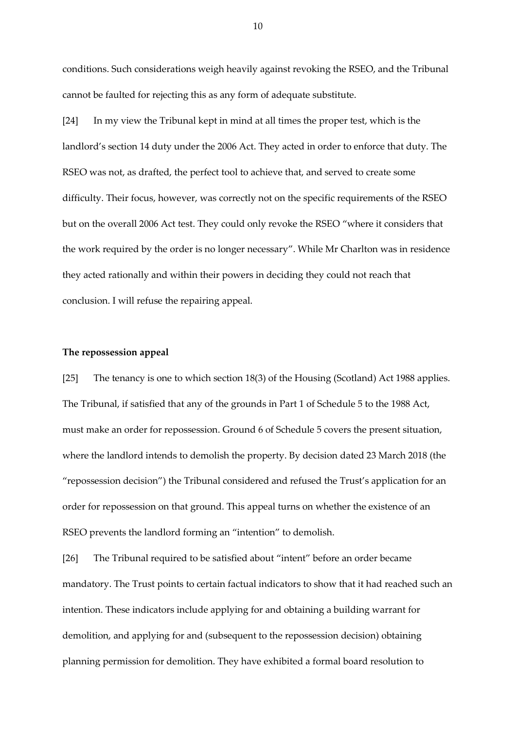conditions. Such considerations weigh heavily against revoking the RSEO, and the Tribunal cannot be faulted for rejecting this as any form of adequate substitute.

[24] In my view the Tribunal kept in mind at all times the proper test, which is the landlord's section 14 duty under the 2006 Act. They acted in order to enforce that duty. The RSEO was not, as drafted, the perfect tool to achieve that, and served to create some difficulty. Their focus, however, was correctly not on the specific requirements of the RSEO but on the overall 2006 Act test. They could only revoke the RSEO "where it considers that the work required by the order is no longer necessary". While Mr Charlton was in residence they acted rationally and within their powers in deciding they could not reach that conclusion. I will refuse the repairing appeal.

### **The repossession appeal**

[25] The tenancy is one to which section 18(3) of the Housing (Scotland) Act 1988 applies. The Tribunal, if satisfied that any of the grounds in Part 1 of Schedule 5 to the 1988 Act, must make an order for repossession. Ground 6 of Schedule 5 covers the present situation, where the landlord intends to demolish the property. By decision dated 23 March 2018 (the "repossession decision") the Tribunal considered and refused the Trust's application for an order for repossession on that ground. This appeal turns on whether the existence of an RSEO prevents the landlord forming an "intention" to demolish.

[26] The Tribunal required to be satisfied about "intent" before an order became mandatory. The Trust points to certain factual indicators to show that it had reached such an intention. These indicators include applying for and obtaining a building warrant for demolition, and applying for and (subsequent to the repossession decision) obtaining planning permission for demolition. They have exhibited a formal board resolution to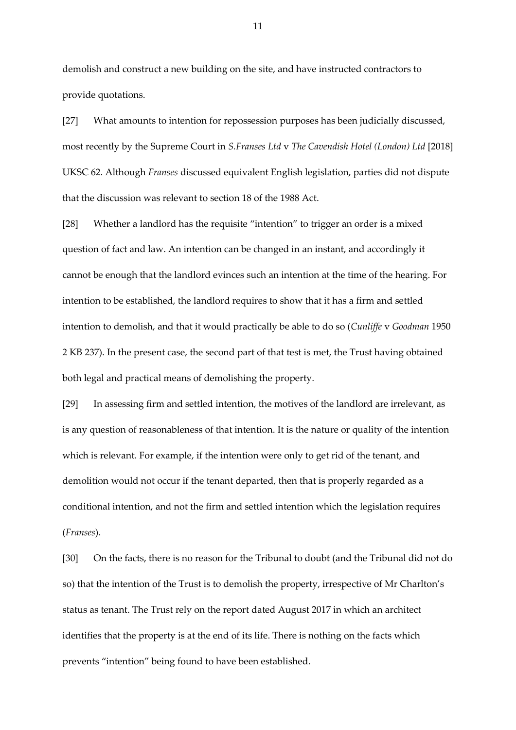demolish and construct a new building on the site, and have instructed contractors to provide quotations.

[27] What amounts to intention for repossession purposes has been judicially discussed, most recently by the Supreme Court in *S.Franses Ltd* v *The Cavendish Hotel (London) Ltd* [2018] UKSC 62. Although *Franses* discussed equivalent English legislation, parties did not dispute that the discussion was relevant to section 18 of the 1988 Act.

[28] Whether a landlord has the requisite "intention" to trigger an order is a mixed question of fact and law. An intention can be changed in an instant, and accordingly it cannot be enough that the landlord evinces such an intention at the time of the hearing. For intention to be established, the landlord requires to show that it has a firm and settled intention to demolish, and that it would practically be able to do so (*Cunliffe* v *Goodman* 1950 2 KB 237). In the present case, the second part of that test is met, the Trust having obtained both legal and practical means of demolishing the property.

[29] In assessing firm and settled intention, the motives of the landlord are irrelevant, as is any question of reasonableness of that intention. It is the nature or quality of the intention which is relevant. For example, if the intention were only to get rid of the tenant, and demolition would not occur if the tenant departed, then that is properly regarded as a conditional intention, and not the firm and settled intention which the legislation requires (*Franses*).

[30] On the facts, there is no reason for the Tribunal to doubt (and the Tribunal did not do so) that the intention of the Trust is to demolish the property, irrespective of Mr Charlton's status as tenant. The Trust rely on the report dated August 2017 in which an architect identifies that the property is at the end of its life. There is nothing on the facts which prevents "intention" being found to have been established.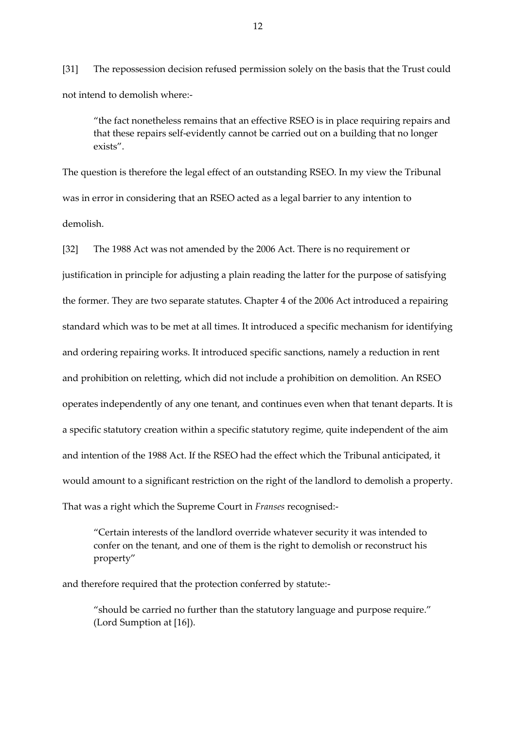[31] The repossession decision refused permission solely on the basis that the Trust could not intend to demolish where:-

"the fact nonetheless remains that an effective RSEO is in place requiring repairs and that these repairs self-evidently cannot be carried out on a building that no longer exists".

The question is therefore the legal effect of an outstanding RSEO. In my view the Tribunal was in error in considering that an RSEO acted as a legal barrier to any intention to demolish.

[32] The 1988 Act was not amended by the 2006 Act. There is no requirement or justification in principle for adjusting a plain reading the latter for the purpose of satisfying the former. They are two separate statutes. Chapter 4 of the 2006 Act introduced a repairing standard which was to be met at all times. It introduced a specific mechanism for identifying and ordering repairing works. It introduced specific sanctions, namely a reduction in rent and prohibition on reletting, which did not include a prohibition on demolition. An RSEO operates independently of any one tenant, and continues even when that tenant departs. It is a specific statutory creation within a specific statutory regime, quite independent of the aim and intention of the 1988 Act. If the RSEO had the effect which the Tribunal anticipated, it would amount to a significant restriction on the right of the landlord to demolish a property. That was a right which the Supreme Court in *Franses* recognised:-

"Certain interests of the landlord override whatever security it was intended to confer on the tenant, and one of them is the right to demolish or reconstruct his property"

and therefore required that the protection conferred by statute:-

"should be carried no further than the statutory language and purpose require." (Lord Sumption at [16]).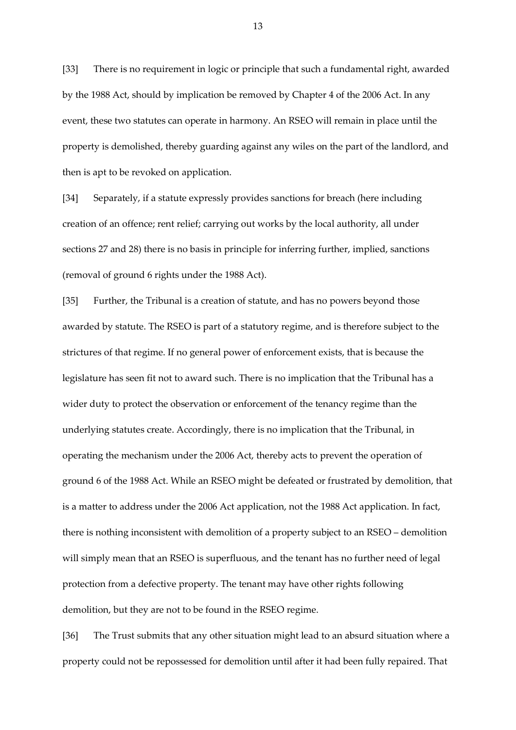[33] There is no requirement in logic or principle that such a fundamental right, awarded by the 1988 Act, should by implication be removed by Chapter 4 of the 2006 Act. In any event, these two statutes can operate in harmony. An RSEO will remain in place until the property is demolished, thereby guarding against any wiles on the part of the landlord, and then is apt to be revoked on application.

[34] Separately, if a statute expressly provides sanctions for breach (here including creation of an offence; rent relief; carrying out works by the local authority, all under sections 27 and 28) there is no basis in principle for inferring further, implied, sanctions (removal of ground 6 rights under the 1988 Act).

[35] Further, the Tribunal is a creation of statute, and has no powers beyond those awarded by statute. The RSEO is part of a statutory regime, and is therefore subject to the strictures of that regime. If no general power of enforcement exists, that is because the legislature has seen fit not to award such. There is no implication that the Tribunal has a wider duty to protect the observation or enforcement of the tenancy regime than the underlying statutes create. Accordingly, there is no implication that the Tribunal, in operating the mechanism under the 2006 Act, thereby acts to prevent the operation of ground 6 of the 1988 Act. While an RSEO might be defeated or frustrated by demolition, that is a matter to address under the 2006 Act application, not the 1988 Act application. In fact, there is nothing inconsistent with demolition of a property subject to an RSEO – demolition will simply mean that an RSEO is superfluous, and the tenant has no further need of legal protection from a defective property. The tenant may have other rights following demolition, but they are not to be found in the RSEO regime.

[36] The Trust submits that any other situation might lead to an absurd situation where a property could not be repossessed for demolition until after it had been fully repaired. That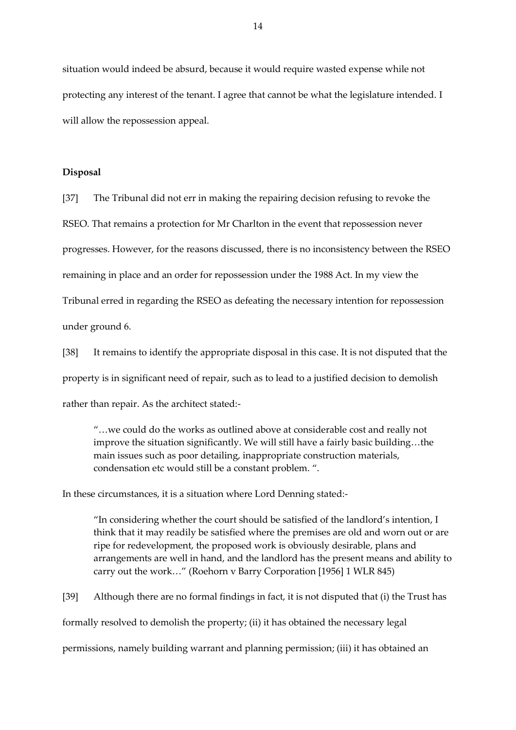situation would indeed be absurd, because it would require wasted expense while not protecting any interest of the tenant. I agree that cannot be what the legislature intended. I will allow the repossession appeal.

### **Disposal**

[37] The Tribunal did not err in making the repairing decision refusing to revoke the RSEO. That remains a protection for Mr Charlton in the event that repossession never progresses. However, for the reasons discussed, there is no inconsistency between the RSEO remaining in place and an order for repossession under the 1988 Act. In my view the Tribunal erred in regarding the RSEO as defeating the necessary intention for repossession under ground 6.

[38] It remains to identify the appropriate disposal in this case. It is not disputed that the property is in significant need of repair, such as to lead to a justified decision to demolish rather than repair. As the architect stated:-

"…we could do the works as outlined above at considerable cost and really not improve the situation significantly. We will still have a fairly basic building…the main issues such as poor detailing, inappropriate construction materials, condensation etc would still be a constant problem. ".

In these circumstances, it is a situation where Lord Denning stated:-

"In considering whether the court should be satisfied of the landlord's intention, I think that it may readily be satisfied where the premises are old and worn out or are ripe for redevelopment, the proposed work is obviously desirable, plans and arrangements are well in hand, and the landlord has the present means and ability to carry out the work…" (Roehorn v Barry Corporation [1956] 1 WLR 845)

[39] Although there are no formal findings in fact, it is not disputed that (i) the Trust has formally resolved to demolish the property; (ii) it has obtained the necessary legal permissions, namely building warrant and planning permission; (iii) it has obtained an